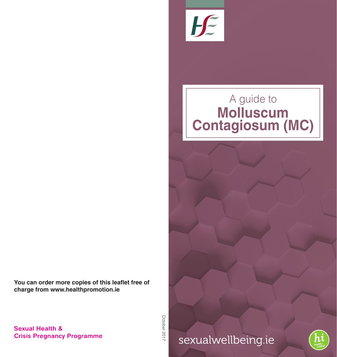

# A guide to **Molluscum Contagiosum (MC)**

**You can order more copies of this leaflet free of charge from www.healthpromotion.ie**

> October 2017 October 2017

sexualwellbeing.ie



**Sexual Health & Crisis Pregnancy Programme**